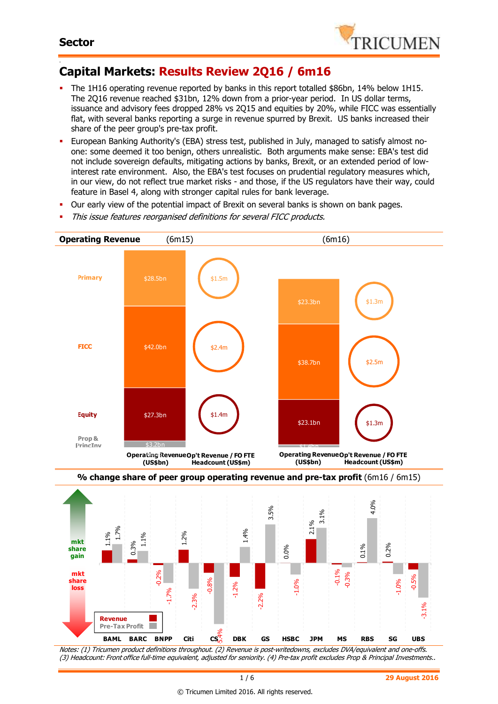

#### - **Capital Markets: Results Review 2Q16 / 6m16**

- The 1H16 operating revenue reported by banks in this report totalled \$86bn, 14% below 1H15. The 2Q16 revenue reached \$31bn, 12% down from a prior-year period. In US dollar terms, issuance and advisory fees dropped 28% vs 2Q15 and equities by 20%, while FICC was essentially flat, with several banks reporting a surge in revenue spurred by Brexit. US banks increased their share of the peer group's pre-tax profit.
- European Banking Authority's (EBA) stress test, published in July, managed to satisfy almost noone: some deemed it too benign, others unrealistic. Both arguments make sense: EBA's test did not include sovereign defaults, mitigating actions by banks, Brexit, or an extended period of lowinterest rate environment. Also, the EBA's test focuses on prudential regulatory measures which, in our view, do not reflect true market risks - and those, if the US regulators have their way, could feature in Basel 4, along with stronger capital rules for bank leverage.
- Our early view of the potential impact of Brexit on several banks is shown on bank pages.
- This issue features reorganised definitions for several FICC products.





Notes: (1) Tricumen product definitions throughout. (2) Revenue is post-writedowns, excludes DVA/equivalent and one-offs. (3) Headcount: Front office full-time equivalent, adjusted for seniority. (4) Pre-tax profit excludes Prop & Principal Investments..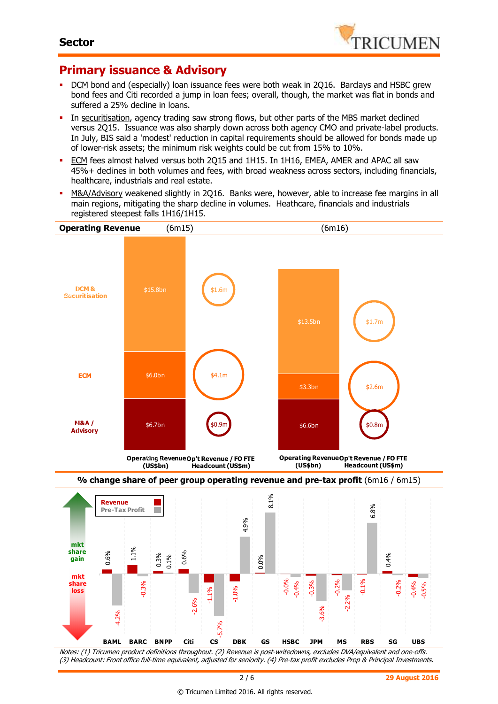

## **Primary issuance & Advisory**

-4.2%

-0.08 -0.06 -0.04

- DCM bond and (especially) loan issuance fees were both weak in 2Q16. Barclays and HSBC grew bond fees and Citi recorded a jump in loan fees; overall, though, the market was flat in bonds and suffered a 25% decline in loans.
- In securitisation, agency trading saw strong flows, but other parts of the MBS market declined versus 2Q15. Issuance was also sharply down across both agency CMO and private-label products. In July, BIS said a 'modest' reduction in capital requirements should be allowed for bonds made up of lower-risk assets; the minimum risk weights could be cut from 15% to 10%.
- ECM fees almost halved versus both 2Q15 and 1H15. In 1H16, EMEA, AMER and APAC all saw 45%+ declines in both volumes and fees, with broad weakness across sectors, including financials, healthcare, industrials and real estate.
- M&A/Advisory weakened slightly in 2Q16. Banks were, however, able to increase fee margins in all main regions, mitigating the sharp decline in volumes. Heathcare, financials and industrials registered steepest falls 1H16/1H15.



Notes: (1) Tricumen product definitions throughout. (2) Revenue is post-writedowns, excludes DVA/equivalent and one-offs. (3) Headcount: Front office full-time equivalent, adjusted for seniority. (4) Pre-tax profit excludes Prop & Principal Investments. **BAML BARC BNPP Citi CS DBK GS HSBC JPM MS RBS SG UBS**

-3.6%

-5.7%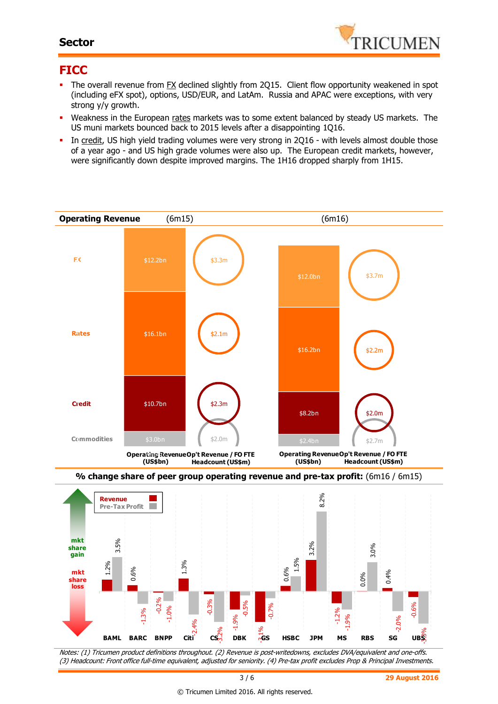#### **Sector**



#### **FICC**

- The overall revenue from FX declined slightly from 2Q15. Client flow opportunity weakened in spot (including eFX spot), options, USD/EUR, and LatAm. Russia and APAC were exceptions, with very strong y/y growth.
- Weakness in the European rates markets was to some extent balanced by steady US markets. The US muni markets bounced back to 2015 levels after a disappointing 1Q16.
- In credit, US high yield trading volumes were very strong in 2Q16 with levels almost double those of a year ago - and US high grade volumes were also up. The European credit markets, however, were significantly down despite improved margins. The 1H16 dropped sharply from 1H15.





Notes: (1) Tricumen product definitions throughout. (2) Revenue is post-writedowns, excludes DVA/equivalent and one-offs. (3) Headcount: Front office full-time equivalent, adjusted for seniority. (4) Pre-tax profit excludes Prop & Principal Investments.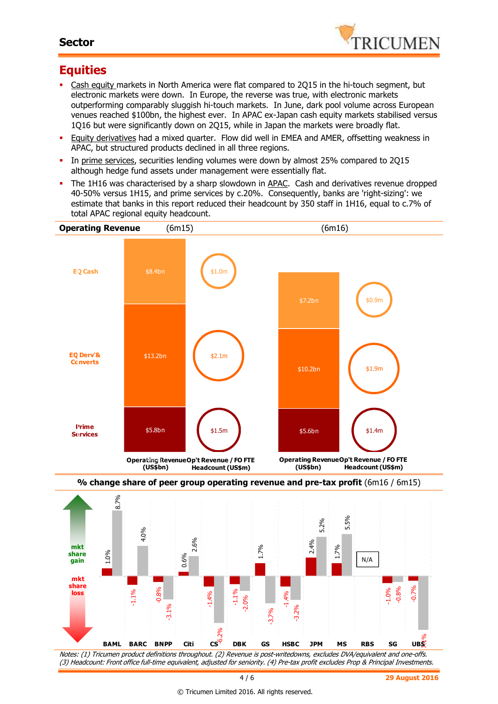#### **Sector**



## **Equities**

-0.06

- Cash equity markets in North America were flat compared to 2Q15 in the hi-touch segment, but electronic markets were down. In Europe, the reverse was true, with electronic markets outperforming comparably sluggish hi-touch markets. In June, dark pool volume across European venues reached \$100bn, the highest ever. In APAC ex-Japan cash equity markets stabilised versus 1Q16 but were significantly down on 2Q15, while in Japan the markets were broadly flat.
- Equity derivatives had a mixed quarter. Flow did well in EMEA and AMER, offsetting weakness in APAC, but structured products declined in all three regions.
- In prime services, securities lending volumes were down by almost 25% compared to 2015 although hedge fund assets under management were essentially flat.
- The 1H16 was characterised by a sharp slowdown in APAC. Cash and derivatives revenue dropped 40-50% versus 1H15, and prime services by c.20%. Consequently, banks are 'right-sizing': we estimate that banks in this report reduced their headcount by 350 staff in 1H16, equal to c.7% of total APAC regional equity headcount.



Notes: (1) Tricumen product definitions throughout. (2) Revenue is post-writedowns, excludes DVA/equivalent and one-offs. (3) Headcount: Front office full-time equivalent, adjusted for seniority. (4) Pre-tax profit excludes Prop & Principal Investments. -6.2% **UBS** -0.08 **BAML BARC BNPP Citi CS DBK GS HSBC JPM MS RBS SG UBS**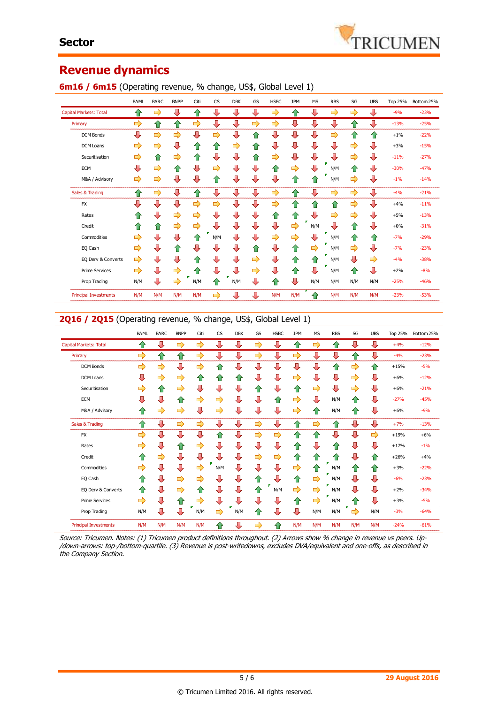## **Revenue dynamics**

|                               | BAML | <b>BARC</b> | <b>BNPP</b> | Citi | CS                      | <b>DBK</b> | GS | <b>HSBC</b>   | <b>JPM</b> | <b>MS</b> | <b>RBS</b> | SG  | <b>UBS</b> | <b>Top 25%</b> | Bottom 25% |
|-------------------------------|------|-------------|-------------|------|-------------------------|------------|----|---------------|------------|-----------|------------|-----|------------|----------------|------------|
| <b>Capital Markets: Total</b> | ⇑    | ➡           | ⇩           | ⇧    | ⊕                       | ⇩          | ⊕  | ⇨             | 슙          | ⊕         | ⇨          | ⇨   | ⇩          | $-9%$          | $-23%$     |
| Primary                       | ⇨    | ⇧           | ⇧           | ⇨    | $\overline{\mathbf{u}}$ | ⇩          | ⇨  | $\Rightarrow$ | ⇩          | ⊕         | ⇩          | ⇮   | ⊕          | $-13%$         | $-25%$     |
| <b>DCM Bonds</b>              | ⊕    | ⇨           | ⇨           | ⊕    | ⇨                       | ⇩          | ⇧  | ⊕             | ⇩          | ⊕         | ⇨          | ⇧   | ⇧          | $+1%$          | $-22%$     |
| DCM Loans                     | ⇨    | ⇨           | ⊕           | ⇑    | ⇧                       | ⇨          | ⇧  | ⊕             | ⇩          | ⊕         | ⇩          | ⇨   | ⊕          | $+3%$          | $-15%$     |
| Securitisation                | ⇨    | 企           | ⇨           | ⇧    | ⊕                       | ⇩          | ✿  | ⇨             | ⇩          | ⊕         | ⇩          | ⇨   | ⊕          | $-11%$         | $-27%$     |
| <b>ECM</b>                    | ⇩    | ⇨           | ✿           | ⇩    | ⇨                       | ⊕          | ⊕  | ⇧             | ⇨          | ⇩         | N/M        | ⇧   | ⊕          | $-30%$         | $-47%$     |
| M&A / Advisory                | ⇨    | ⇨           | ⊕           | ⊕    | ⇧                       | ⊕          | ⇩  | ⊕             | ⇮          | 企         | N/M        | ⇨   | ⇩          | $-1%$          | $-14%$     |
| Sales & Trading               | ⇑    | ⇨           | ⊕           | ⇑    | ⊕                       | ⇩          | ⊕  | ⇨             | ⇧          | ⊕         | ⇨          | ⇨   | ⊕          | $-4%$          | $-21%$     |
| <b>FX</b>                     | ⇩    | ⊕           | ⊕           | ⇨    | ⇨                       | ⊕          | ⇩  | ⇨             | ✿          | ⇧         | 合          | ⇨   | ⊕          | $+4%$          | $-11%$     |
| Rates                         | ⇑    | ⇩           | ⇨           | ⇨    | ⊕                       | ⇩          | ⊕  | ⇮             | ⇧          | ⊕         | ⇨          | ⇨   | ⊕          | $+5%$          | $-13%$     |
| Credit                        | ⇑    | ⇑           | ⇨           | ⇨    | ⇩                       | ⇩          | ⊕  | ⊕             | ⇨          | N/M       | ⇩          | ⇑   | ⊕          | $+0\%$         | $-31%$     |
| Commodities                   | ⇨    | ⊕           | ⇩           | ⇑    | N/M                     | ⇩          | ⊕  | ⇨             | ⇨          | ⊕         | N/M        | ⇧   | ⇑          | $-7%$          | $-29%$     |
| EQ Cash                       | ⇨    | ⇩           | ⇑           | ⊕    | ⇩                       | ⇩          | ⇮  | ⊕             | 合          | ⇨         | N/M        | ⇨   | ⊕          | $-7%$          | $-23%$     |
| EQ Derv & Converts            | ⇨    | ⊕           | ⊕           | ⇑    | ⊕                       | ⊕          | ⇨  | ⊕             | ⇮          | 企         | N/M        | ⊕   | ⇨          | $-4%$          | $-38%$     |
| <b>Prime Services</b>         | ⇨    | ⊕           | ⇨           | ⇧    | ⊕                       | ⇩          | ⇨  | ⊕             | 슙          | ⊕         | N/M        | ⇧   | ⊕          | $+2%$          | $-8%$      |
| Prop Trading                  | N/M  | ⊕           | ⇨           | N/M  | ⇧                       | N/M        | ⊕  | ⇧             | ⇩          | N/M       | N/M        | N/M | N/M        | $-25%$         | $-46%$     |
| <b>Principal Investments</b>  | N/M  | N/M         | N/M         | N/M  | ⇨                       | ⊕          | ⊕  | N/M           | N/M        | ⇑         | N/M        | N/M | N/M        | $-23%$         | $-53%$     |

## **6m16 / 6m15** (Operating revenue, % change, US\$, Global Level 1)

#### 2Q16 / 2Q15 (Operating revenue, % change, US\$, Global Level 1)

|                               | <b>BAML</b>   | <b>BARC</b> | <b>BNPP</b> | Citi | CS       | <b>DBK</b> | GS | <b>HSBC</b> | <b>JPM</b> | <b>MS</b> | <b>RBS</b> | SG     | <b>UBS</b>    | <b>Top 25%</b> | Bottom 25% |
|-------------------------------|---------------|-------------|-------------|------|----------|------------|----|-------------|------------|-----------|------------|--------|---------------|----------------|------------|
| <b>Capital Markets: Total</b> | ⇑             | ⇩           | ⇨           | ⇨    | ⊕        | ⊕          | ⇨  | ⊕           | ⇧          | ⇨         | ⇧          | ⊕      | ⊕             | $+4%$          | $-12%$     |
| Primary                       | ⇨             | ⇧           | ⇧           | ⇨    | ⊕        | ⊕          | ⇨  | ⊕           | ⇨          | ⇩         | ⊕          | ⇧      | ⊕             | $-4%$          | $-23%$     |
| <b>DCM Bonds</b>              | ⇨             | ⇨           | ⊕           | ⇨    | ⇑        | ⇩          | ⊕  | ⊕           | ⊕          | ⇩         | ⇧          | ⇨      | ⇑             | $+15%$         | $-5%$      |
| <b>DCM Loans</b>              | ⊕             | ⇨           | ⇨           | ⇑    | 仆        | ⇑          | ⊕  | ⊕           | ⇨          | ⇩         | ⇩          | ⇨      | ⊕             | $+6%$          | $-12%$     |
| Securitisation                | ⇨             | ⇑           | ⇨           | ⇩    | ⇩        | ⇩          | ⇑  | ⊕           | ⇧          | ⇨         | ⊕          | ⇨      | ⊕             | $+6%$          | $-21%$     |
| <b>ECM</b>                    | ⊕             | ⊕           | ⇧           | ⇨    | ⇨        | ⇩          | ⊕  | ⇧           | ⇨          | ⇩         | N/M        | ⇑      | ⊕             | $-27%$         | $-45%$     |
| M&A / Advisory                | ⇑             | ⇨           | ⇨           | ⊕    | ⇨        | ⊕          | ⇩  | ⊕           | ⇨          | ⇧         | N/M        | ⇮      | ⊕             | $+6%$          | $-9%$      |
| Sales & Trading               | ⇧             | ⊕           | ⇨           | ⇨    | ⇩        | ⊕          | ⇨  | ⊕           | ⇧          | ⇨         | ⇧          | ⊕      | ⇩             | $+7%$          | $-13%$     |
| <b>FX</b>                     | ⇨             | ⊕           | ⊕           | ⇩    | ⇑        | ⊕          | ⇨  | ⇨           | ⇧          | 合         | ⇩          | ⊕      | $\Rightarrow$ | $+19%$         | $+6%$      |
| Rates                         | $\Rightarrow$ | ⊕           | ⇧           | ⇨    | ⇩        | ⇩          | ⇩  | ⊕           | ⇮          | ⇩         | ⇧          | ⇩      | ⇩             | $+17%$         | $-1%$      |
| Credit                        | ⇧             | ⇨           | ⊕           | ⊕    | л        | ⊕          | ⇨  | ⇨           | ⇧          | ⇧         | ⇑          | ⇩      | ⇑             | $+26%$         | $+4%$      |
| Commodities                   | ⇨             | ⊕           | ⇩           | ⇨    | г<br>N/M | ⇩          | ⊕  | ⊕           | ⇨          | ⇧         | N/M        | ⇧      | ⇑             | $+3%$          | $-22%$     |
| EQ Cash                       | ⇑             | ⊕           | ⇨           | ⇨    | ⇩        | ⊕          | ⇑  | ⊕           | 合          | ⇨         | N/M        | ⇩      | ⊕             | $-6%$          | $-23%$     |
| EQ Derv & Converts            | ⇧             | ⊕           | ⇨           | ⇑    | ⊕        | ⇩          | ⇑  | N/M         | ⇨          | ⇨         | N/M        | ⊕      | ⊕             | $+2%$          | $-34%$     |
| <b>Prime Services</b>         | $\Rightarrow$ | ⊕           | ⇧           | ⇨    | ⇩        | ⇩          | ⇩  | ⊕           | ⇧          | ⇨         | N/M        | ⇑      | ⊕             | $+3%$          | $-5%$      |
| Prop Trading                  | N/M           | ⊕           | ⊕           | N/M  | ⇨        | N/M        | ⇑  | ⊕           | ⇩          | N/M       | N/M        | ×<br>⇨ | N/M           | $-3%$          | $-64%$     |
| <b>Principal Investments</b>  | N/M           | N/M         | N/M         | N/M  | ⇑        | ⊕          | ⇨  | ⇑           | N/M        | N/M       | N/M        | N/M    | N/M           | $-24%$         | $-61%$     |

Source: Tricumen. Notes: (1) Tricumen product definitions throughout. (2) Arrows show % change in revenue vs peers. Up- /down-arrows: top-/bottom-quartile. (3) Revenue is post-writedowns, excludes DVA/equivalent and one-offs, as described in the Company Section.